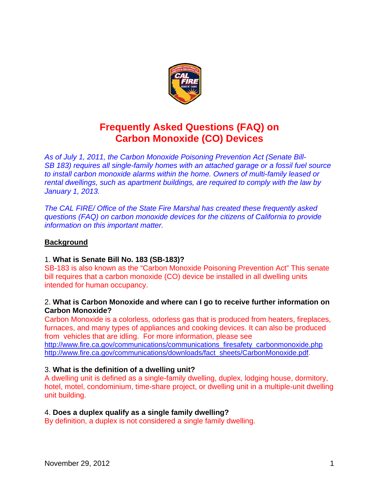

# **Frequently Asked Questions (FAQ) on Carbon Monoxide (CO) Devices**

*As of July 1, 2011, the Carbon Monoxide Poisoning Prevention Act (Senate Bill-SB 183) requires all single-family homes with an attached garage or a fossil fuel source to install carbon monoxide alarms within the home. Owners of multi-family leased or rental dwellings, such as apartment buildings, are required to comply with the law by January 1, 2013.* 

*The CAL FIRE/ Office of the State Fire Marshal has created these frequently asked questions (FAQ) on carbon monoxide devices for the citizens of California to provide information on this important matter.* 

# **Background**

## 1. **What is Senate Bill No. 183 (SB-183)?**

SB-183 is also known as the "Carbon Monoxide Poisoning Prevention Act" This senate bill requires that a carbon monoxide (CO) device be installed in all dwelling units intended for human occupancy.

## 2. **What is Carbon Monoxide and where can I go to receive further information on Carbon Monoxide?**

Carbon Monoxide is a colorless, odorless gas that is produced from heaters, fireplaces, furnaces, and many types of appliances and cooking devices. It can also be produced from vehicles that are idling. For more information, please see http://www.fire.ca.gov/communications/communications\_firesafety\_carbonmonoxide.php http://www.fire.ca.gov/communications/downloads/fact\_sheets/CarbonMonoxide.pdf.

## 3. **What is the definition of a dwelling unit?**

A dwelling unit is defined as a single-family dwelling, duplex, lodging house, dormitory, hotel, motel, condominium, time-share project, or dwelling unit in a multiple-unit dwelling unit building.

#### 4. **Does a duplex qualify as a single family dwelling?**

By definition, a duplex is not considered a single family dwelling.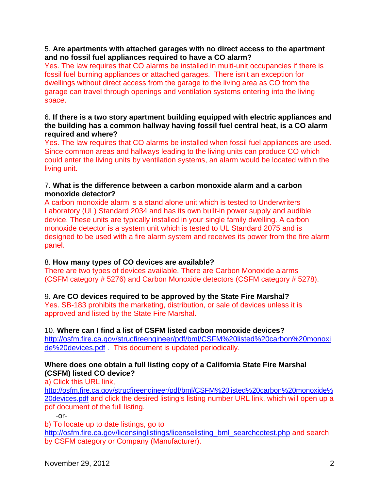## 5. **Are apartments with attached garages with no direct access to the apartment and no fossil fuel appliances required to have a CO alarm?**

Yes. The law requires that CO alarms be installed in multi-unit occupancies if there is fossil fuel burning appliances or attached garages. There isn't an exception for dwellings without direct access from the garage to the living area as CO from the garage can travel through openings and ventilation systems entering into the living space.

## 6. **If there is a two story apartment building equipped with electric appliances and the building has a common hallway having fossil fuel central heat, is a CO alarm required and where?**

Yes. The law requires that CO alarms be installed when fossil fuel appliances are used. Since common areas and hallways leading to the living units can produce CO which could enter the living units by ventilation systems, an alarm would be located within the living unit.

## 7. **What is the difference between a carbon monoxide alarm and a carbon monoxide detector?**

A carbon monoxide alarm is a stand alone unit which is tested to Underwriters Laboratory (UL) Standard 2034 and has its own built-in power supply and audible device. These units are typically installed in your single family dwelling. A carbon monoxide detector is a system unit which is tested to UL Standard 2075 and is designed to be used with a fire alarm system and receives its power from the fire alarm panel.

# 8. **How many types of CO devices are available?**

There are two types of devices available. There are Carbon Monoxide alarms (CSFM category # 5276) and Carbon Monoxide detectors (CSFM category # 5278).

## 9. **Are CO devices required to be approved by the State Fire Marshal?**

Yes. SB-183 prohibits the marketing, distribution, or sale of devices unless it is approved and listed by the State Fire Marshal.

#### 10. **Where can I find a list of CSFM listed carbon monoxide devices?**

http://osfm.fire.ca.gov/strucfireengineer/pdf/bml/CSFM%20listed%20carbon%20monoxi de%20devices.pdf . This document is updated periodically.

## **Where does one obtain a full listing copy of a California State Fire Marshal (CSFM) listed CO device?**

a) Click this URL link,

http://osfm.fire.ca.gov/strucfireengineer/pdf/bml/CSFM%20listed%20carbon%20monoxide% 20devices.pdf and click the desired listing's listing number URL link, which will open up a pdf document of the full listing.

-or-

b) To locate up to date listings, go to

http://osfm.fire.ca.gov/licensinglistings/licenselisting\_bml\_searchcotest.php and search by CSFM category or Company (Manufacturer).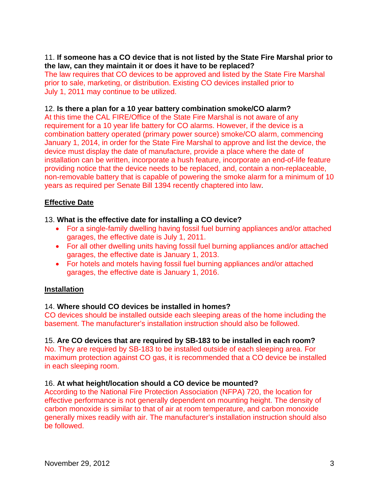## 11. **If someone has a CO device that is not listed by the State Fire Marshal prior to the law, can they maintain it or does it have to be replaced?**

The law requires that CO devices to be approved and listed by the State Fire Marshal prior to sale, marketing, or distribution. Existing CO devices installed prior to July 1, 2011 may continue to be utilized.

## 12. **Is there a plan for a 10 year battery combination smoke/CO alarm?**

At this time the CAL FIRE/Office of the State Fire Marshal is not aware of any requirement for a 10 year life battery for CO alarms. However, if the device is a combination battery operated (primary power source) smoke/CO alarm, commencing January 1, 2014, in order for the State Fire Marshal to approve and list the device, the device must display the date of manufacture, provide a place where the date of installation can be written, incorporate a hush feature, incorporate an end-of-life feature providing notice that the device needs to be replaced, and, contain a non-replaceable, non-removable battery that is capable of powering the smoke alarm for a minimum of 10 years as required per Senate Bill 1394 recently chaptered into law.

# **Effective Date**

# 13. **What is the effective date for installing a CO device?**

- For a single-family dwelling having fossil fuel burning appliances and/or attached garages, the effective date is July 1, 2011.
- For all other dwelling units having fossil fuel burning appliances and/or attached garages, the effective date is January 1, 2013.
- For hotels and motels having fossil fuel burning appliances and/or attached garages, the effective date is January 1, 2016.

## **Installation**

## 14. **Where should CO devices be installed in homes?**

CO devices should be installed outside each sleeping areas of the home including the basement. The manufacturer's installation instruction should also be followed.

## 15. **Are CO devices that are required by SB-183 to be installed in each room?**

No. They are required by SB-183 to be installed outside of each sleeping area. For maximum protection against CO gas, it is recommended that a CO device be installed in each sleeping room.

## 16. **At what height/location should a CO device be mounted?**

According to the National Fire Protection Association (NFPA) 720, the location for effective performance is not generally dependent on mounting height. The density of carbon monoxide is similar to that of air at room temperature, and carbon monoxide generally mixes readily with air. The manufacturer's installation instruction should also be followed.